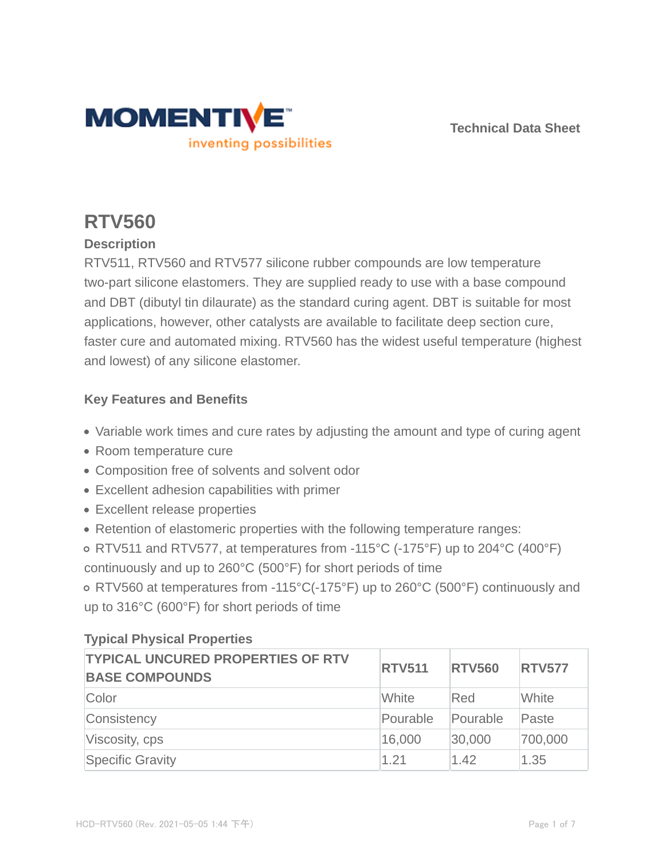

**Technical Data Sheet**

# **RTV560**

# **Description**

RTV511, RTV560 and RTV577 silicone rubber compounds are low temperature two-part silicone elastomers. They are supplied ready to use with a base compound and DBT (dibutyl tin dilaurate) as the standard curing agent. DBT is suitable for most applications, however, other catalysts are available to facilitate deep section cure, faster cure and automated mixing. RTV560 has the widest useful temperature (highest and lowest) of any silicone elastomer.

### **Key Features and Benefits**

- Variable work times and cure rates by adjusting the amount and type of curing agent
- Room temperature cure
- Composition free of solvents and solvent odor
- Excellent adhesion capabilities with primer
- Excellent release properties
- Retention of elastomeric properties with the following temperature ranges:
- RTV511 and RTV577, at temperatures from -115°C (-175°F) up to 204°C (400°F) continuously and up to 260°C (500°F) for short periods of time

RTV560 at temperatures from -115°C(-175°F) up to 260°C (500°F) continuously and up to 316°C (600°F) for short periods of time

| <b>TYPICAL UNCURED PROPERTIES OF RTV</b><br><b>BASE COMPOUNDS</b> | <b>RTV511</b> | <b>RTV560</b> | <b>RTV577</b> |
|-------------------------------------------------------------------|---------------|---------------|---------------|
| Color                                                             | White         | Red           | White         |
| Consistency                                                       | Pourable      | Pourable      | Paste         |
| Viscosity, cps                                                    | 16,000        | 30,000        | 700,000       |
| <b>Specific Gravity</b>                                           | 1.21          | 1.42          | 1.35          |

# **Typical Physical Properties**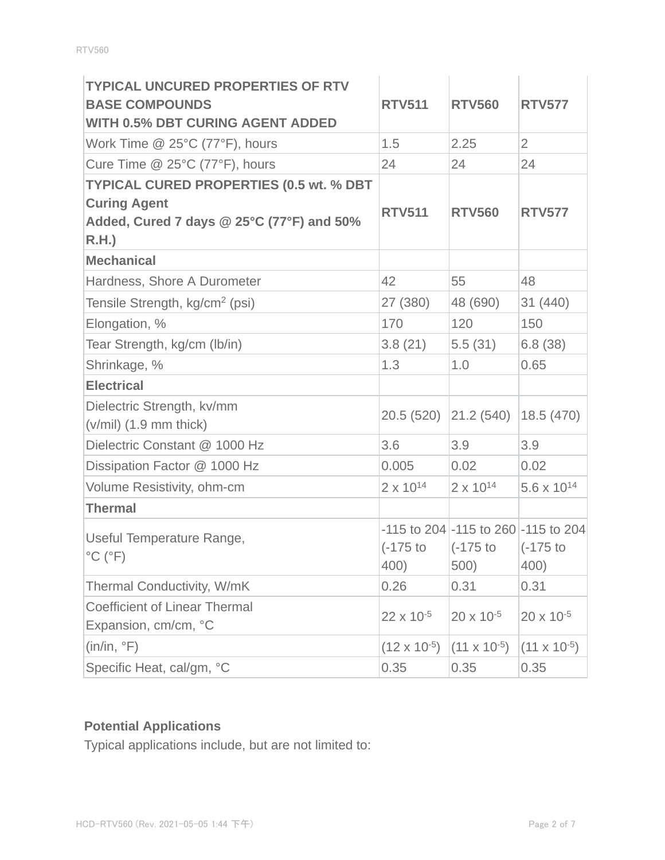| <b>TYPICAL UNCURED PROPERTIES OF RTV</b><br><b>BASE COMPOUNDS</b><br><b>WITH 0.5% DBT CURING AGENT ADDED</b>               | <b>RTV511</b>         | <b>RTV560</b>                                                    | <b>RTV577</b>         |
|----------------------------------------------------------------------------------------------------------------------------|-----------------------|------------------------------------------------------------------|-----------------------|
| Work Time $@$ 25°C (77°F), hours                                                                                           | 1.5                   | 2.25                                                             | $\overline{2}$        |
| Cure Time $@$ 25°C (77°F), hours                                                                                           | 24                    | 24                                                               | 24                    |
| <b>TYPICAL CURED PROPERTIES (0.5 wt. % DBT</b><br><b>Curing Agent</b><br>Added, Cured 7 days @ 25°C (77°F) and 50%<br>R.H. | <b>RTV511</b>         | <b>RTV560</b>                                                    | <b>RTV577</b>         |
| <b>Mechanical</b>                                                                                                          |                       |                                                                  |                       |
| Hardness, Shore A Durometer                                                                                                | 42                    | 55                                                               | 48                    |
| Tensile Strength, kg/cm <sup>2</sup> (psi)                                                                                 | 27 (380)              | 48 (690)                                                         | 31 (440)              |
| Elongation, %                                                                                                              | 170                   | 120                                                              | 150                   |
| Tear Strength, kg/cm (lb/in)                                                                                               | 3.8(21)               | 5.5(31)                                                          | 6.8(38)               |
| Shrinkage, %                                                                                                               | 1.3                   | 1.0                                                              | 0.65                  |
| <b>Electrical</b>                                                                                                          |                       |                                                                  |                       |
| Dielectric Strength, kv/mm<br>$(v/mil)$ (1.9 mm thick)                                                                     | 20.5(520)             | 21.2(540)                                                        | 18.5(470)             |
| Dielectric Constant @ 1000 Hz                                                                                              | 3.6                   | 3.9                                                              | 3.9                   |
| Dissipation Factor @ 1000 Hz                                                                                               | 0.005                 | 0.02                                                             | 0.02                  |
| Volume Resistivity, ohm-cm                                                                                                 | $2 \times 10^{14}$    | $2 \times 10^{14}$                                               | $5.6 \times 10^{14}$  |
| <b>Thermal</b>                                                                                                             |                       |                                                                  |                       |
| Useful Temperature Range,<br>$^{\circ}$ C ( $^{\circ}$ F)                                                                  | $(-175)$ to<br>400)   | $-115$ to 204 $-115$ to 260 $-115$ to 204<br>$(-175)$ to<br>500) | $(-175)$ to<br>400)   |
| Thermal Conductivity, W/mK                                                                                                 | 0.26                  | 0.31                                                             | 0.31                  |
| <b>Coefficient of Linear Thermal</b><br>Expansion, cm/cm, °C                                                               | 22 x 10 <sup>-5</sup> | $20 \times 10^{-5}$                                              | $20 \times 10^{-5}$   |
| (in/in, °F)                                                                                                                | $(12 \times 10^{-5})$ | $(11 \times 10^{-5})$                                            | $(11 \times 10^{-5})$ |
| Specific Heat, cal/gm, °C                                                                                                  | 0.35                  | 0.35                                                             | 0.35                  |

# **Potential Applications**

Typical applications include, but are not limited to: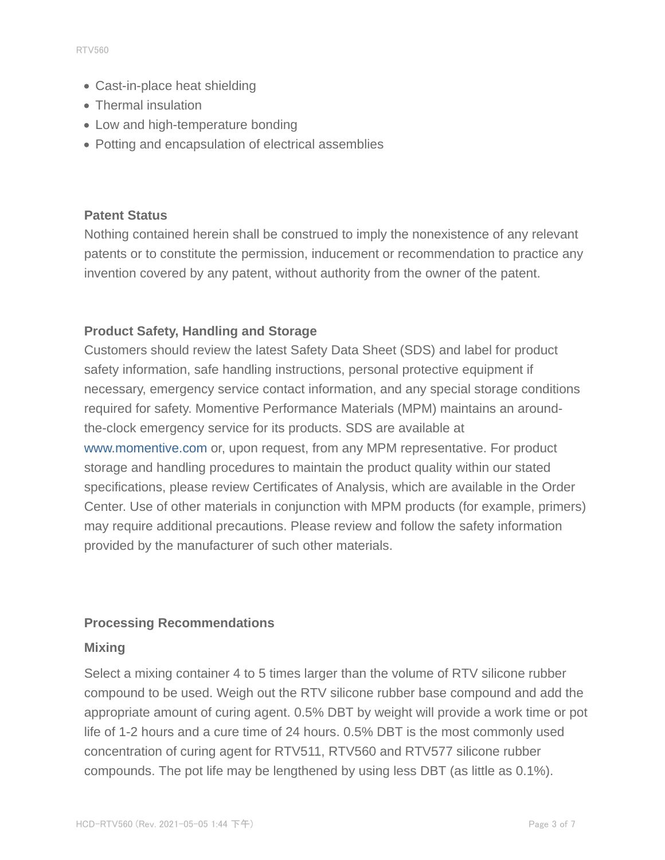- Cast-in-place heat shielding
- Thermal insulation
- Low and high-temperature bonding
- Potting and encapsulation of electrical assemblies

#### **Patent Status**

Nothing contained herein shall be construed to imply the nonexistence of any relevant patents or to constitute the permission, inducement or recommendation to practice any invention covered by any patent, without authority from the owner of the patent.

#### **Product Safety, Handling and Storage**

Customers should review the latest Safety Data Sheet (SDS) and label for product safety information, safe handling instructions, personal protective equipment if necessary, emergency service contact information, and any special storage conditions required for safety. Momentive Performance Materials (MPM) maintains an aroundthe-clock emergency service for its products. SDS are available at www.momentive.com or, upon request, from any MPM representative. For product storage and handling procedures to maintain the product quality within our stated specifications, please review Certificates of Analysis, which are available in the Order Center. Use of other materials in conjunction with MPM products (for example, primers) may require additional precautions. Please review and follow the safety information provided by the manufacturer of such other materials.

#### **Processing Recommendations**

#### **Mixing**

Select a mixing container 4 to 5 times larger than the volume of RTV silicone rubber compound to be used. Weigh out the RTV silicone rubber base compound and add the appropriate amount of curing agent. 0.5% DBT by weight will provide a work time or pot life of 1-2 hours and a cure time of 24 hours. 0.5% DBT is the most commonly used concentration of curing agent for RTV511, RTV560 and RTV577 silicone rubber compounds. The pot life may be lengthened by using less DBT (as little as 0.1%).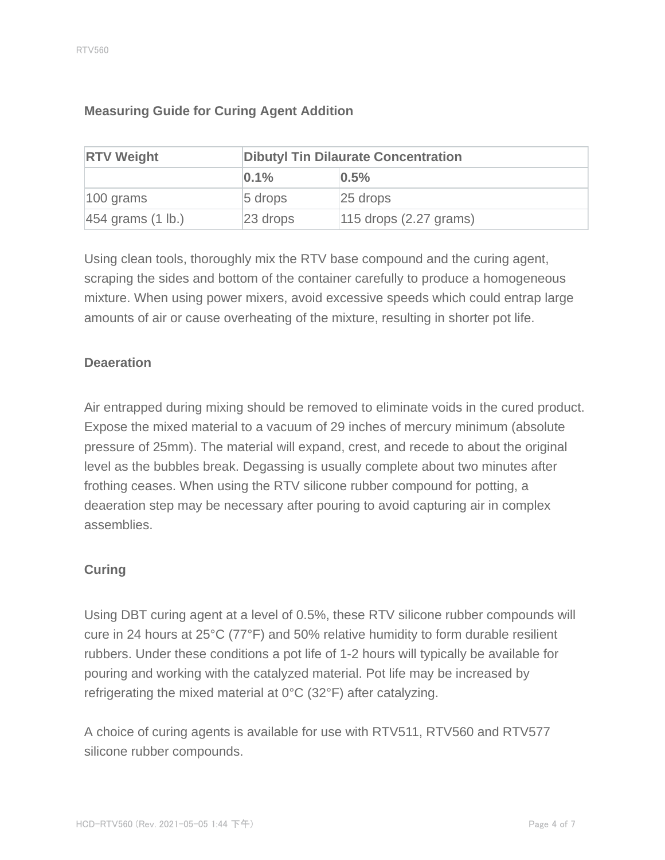| <b>RTV Weight</b>              | <b>Dibutyl Tin Dilaurate Concentration</b> |                            |  |
|--------------------------------|--------------------------------------------|----------------------------|--|
|                                | 0.1%                                       | 0.5%                       |  |
| $100$ grams                    | $5$ drops                                  | $25$ drops                 |  |
| $ 454$ grams $(1 \text{ lb.})$ | $23$ drops                                 | $115$ drops $(2.27$ grams) |  |

#### **Measuring Guide for Curing Agent Addition**

Using clean tools, thoroughly mix the RTV base compound and the curing agent, scraping the sides and bottom of the container carefully to produce a homogeneous mixture. When using power mixers, avoid excessive speeds which could entrap large amounts of air or cause overheating of the mixture, resulting in shorter pot life.

#### **Deaeration**

Air entrapped during mixing should be removed to eliminate voids in the cured product. Expose the mixed material to a vacuum of 29 inches of mercury minimum (absolute pressure of 25mm). The material will expand, crest, and recede to about the original level as the bubbles break. Degassing is usually complete about two minutes after frothing ceases. When using the RTV silicone rubber compound for potting, a deaeration step may be necessary after pouring to avoid capturing air in complex assemblies.

#### **Curing**

Using DBT curing agent at a level of 0.5%, these RTV silicone rubber compounds will cure in 24 hours at 25°C (77°F) and 50% relative humidity to form durable resilient rubbers. Under these conditions a pot life of 1-2 hours will typically be available for pouring and working with the catalyzed material. Pot life may be increased by refrigerating the mixed material at 0°C (32°F) after catalyzing.

A choice of curing agents is available for use with RTV511, RTV560 and RTV577 silicone rubber compounds.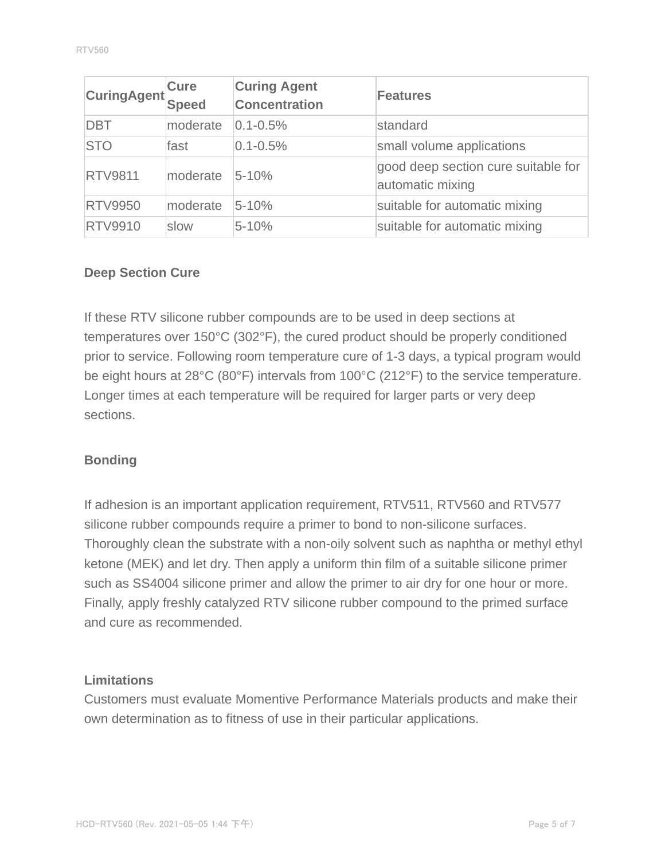| CuringAgent    | <b>Cure</b><br><b>Speed</b> | <b>Curing Agent</b><br><b>Concentration</b> | Features                                                |
|----------------|-----------------------------|---------------------------------------------|---------------------------------------------------------|
| <b>DBT</b>     | moderate                    | $0.1 - 0.5%$                                | standard                                                |
| <b>STO</b>     | fast                        | $0.1 - 0.5%$                                | small volume applications                               |
| <b>RTV9811</b> | moderate                    | $5 - 10%$                                   | good deep section cure suitable for<br>automatic mixing |
| <b>RTV9950</b> | moderate                    | $5 - 10%$                                   | suitable for automatic mixing                           |
| <b>RTV9910</b> | slow                        | $5 - 10%$                                   | suitable for automatic mixing                           |

#### **Deep Section Cure**

If these RTV silicone rubber compounds are to be used in deep sections at temperatures over 150°C (302°F), the cured product should be properly conditioned prior to service. Following room temperature cure of 1-3 days, a typical program would be eight hours at 28°C (80°F) intervals from 100°C (212°F) to the service temperature. Longer times at each temperature will be required for larger parts or very deep sections.

#### **Bonding**

If adhesion is an important application requirement, RTV511, RTV560 and RTV577 silicone rubber compounds require a primer to bond to non-silicone surfaces. Thoroughly clean the substrate with a non-oily solvent such as naphtha or methyl ethyl ketone (MEK) and let dry. Then apply a uniform thin film of a suitable silicone primer such as SS4004 silicone primer and allow the primer to air dry for one hour or more. Finally, apply freshly catalyzed RTV silicone rubber compound to the primed surface and cure as recommended.

#### **Limitations**

Customers must evaluate Momentive Performance Materials products and make their own determination as to fitness of use in their particular applications.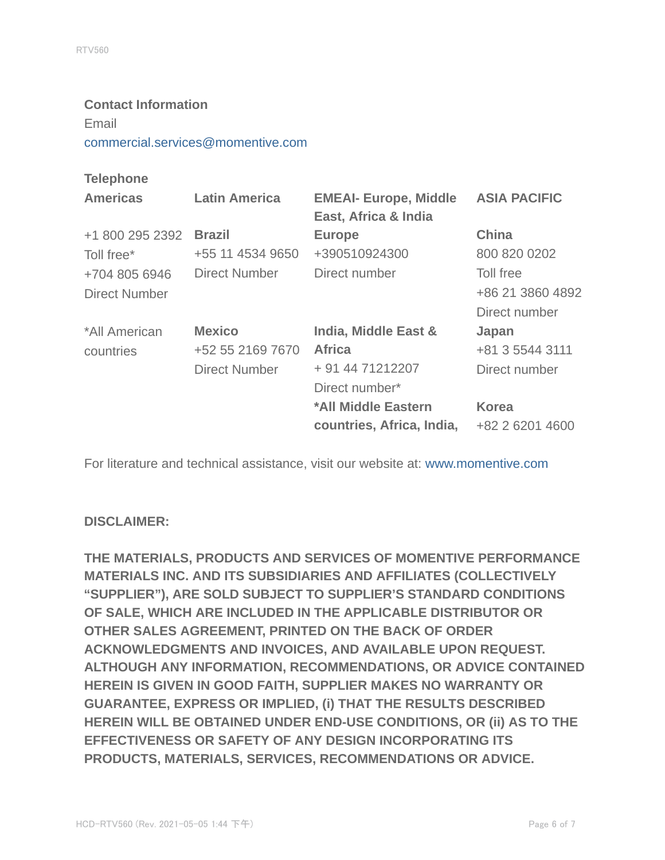# **Contact Information** Email commercial.services@momentive.com

#### **Telephone**

| <b>Americas</b>      | <b>Latin America</b> | <b>EMEAI- Europe, Middle</b><br>East, Africa & India | <b>ASIA PACIFIC</b> |
|----------------------|----------------------|------------------------------------------------------|---------------------|
| +1 800 295 2392      | <b>Brazil</b>        | <b>Europe</b>                                        | <b>China</b>        |
| Toll free*           | +55 11 4534 9650     | +390510924300                                        | 800 820 0202        |
| +704 805 6946        | Direct Number        | Direct number                                        | Toll free           |
| <b>Direct Number</b> |                      |                                                      | +86 21 3860 4892    |
|                      |                      |                                                      | Direct number       |
| *All American        | <b>Mexico</b>        | India, Middle East &                                 | Japan               |
| countries            | +52 55 2169 7670     | <b>Africa</b>                                        | +81 3 5544 3111     |
|                      | <b>Direct Number</b> | + 91 44 71212207                                     | Direct number       |
|                      |                      | Direct number*                                       |                     |
|                      |                      | *All Middle Eastern                                  | <b>Korea</b>        |
|                      |                      | countries, Africa, India,                            | +82 2 6201 4600     |

For literature and technical assistance, visit our website at: www.momentive.com

#### **DISCLAIMER:**

**THE MATERIALS, PRODUCTS AND SERVICES OF MOMENTIVE PERFORMANCE MATERIALS INC. AND ITS SUBSIDIARIES AND AFFILIATES (COLLECTIVELY "SUPPLIER"), ARE SOLD SUBJECT TO SUPPLIER'S STANDARD CONDITIONS OF SALE, WHICH ARE INCLUDED IN THE APPLICABLE DISTRIBUTOR OR OTHER SALES AGREEMENT, PRINTED ON THE BACK OF ORDER ACKNOWLEDGMENTS AND INVOICES, AND AVAILABLE UPON REQUEST. ALTHOUGH ANY INFORMATION, RECOMMENDATIONS, OR ADVICE CONTAINED HEREIN IS GIVEN IN GOOD FAITH, SUPPLIER MAKES NO WARRANTY OR GUARANTEE, EXPRESS OR IMPLIED, (i) THAT THE RESULTS DESCRIBED HEREIN WILL BE OBTAINED UNDER END-USE CONDITIONS, OR (ii) AS TO THE EFFECTIVENESS OR SAFETY OF ANY DESIGN INCORPORATING ITS PRODUCTS, MATERIALS, SERVICES, RECOMMENDATIONS OR ADVICE.**